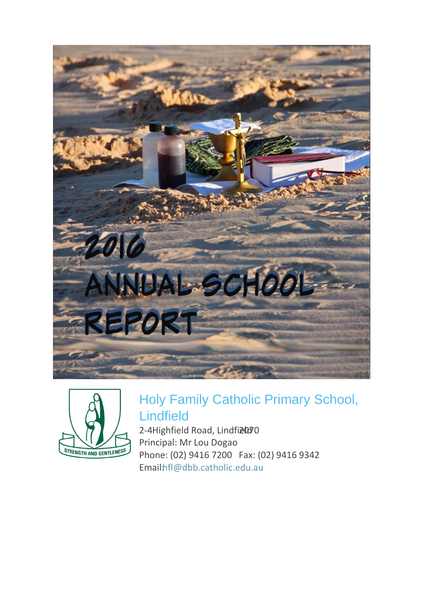



# Holy Family Catholic Primary School, Lindfield

2-4Highfield Road, Lindfi<sup>2070</sup> Principal: Mr Lou Dogao Phone: (02) 9416 7200 Fax: (02) 9416 9342 Emailhfl@dbb.catholic.edu.au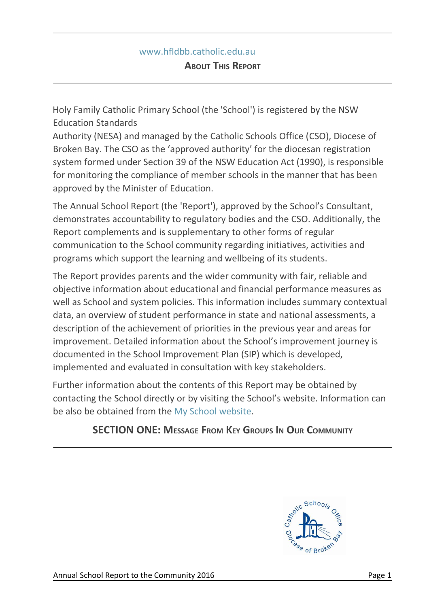#### www.hfldbb.catholic.edu.au

Holy Family Catholic Primary School (the 'School') is registered by the NSW Education Standards

Authority (NESA) and managed by the Catholic Schools Office (CSO), Diocese of Broken Bay. The CSO as the 'approved authority' for the diocesan registration system formed under Section 39 of the NSW Education Act (1990), is responsible for monitoring the compliance of member schools in the manner that has been approved by the Minister of Education.

The Annual School Report (the 'Report'), approved by the School's Consultant, demonstrates accountability to regulatory bodies and the CSO. Additionally, the Report complements and is supplementary to other forms of regular communication to the School community regarding initiatives, activities and programs which support the learning and wellbeing of its students.

The Report provides parents and the wider community with fair, reliable and objective information about educational and financial performance measures as well as School and system policies. This information includes summary contextual data, an overview of student performance in state and national assessments, a description of the achievement of priorities in the previous year and areas for improvement. Detailed information about the School's improvement journey is documented in the School Improvement Plan (SIP) which is developed, implemented and evaluated in consultation with key stakeholders.

Further information about the contents of this Report may be obtained by contacting the School directly or by visiting the School's website. Information can be also be obtained from the My School website.

# **SECTION ONE: MESSAGE FROM KEY GROUPS I<sup>N</sup> OUR COMMUNITY**

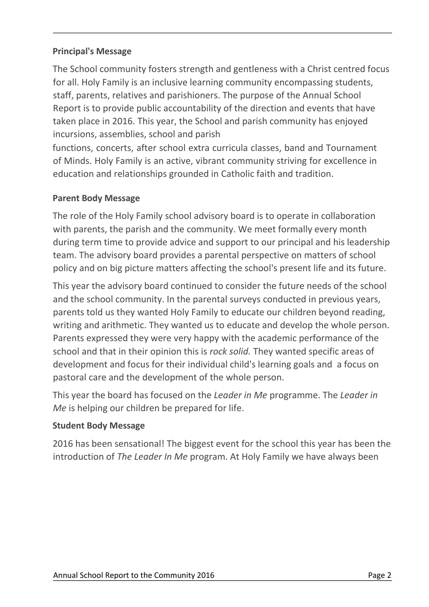#### **Principal's Message**

The School community fosters strength and gentleness with a Christ centred focus for all. Holy Family is an inclusive learning community encompassing students, staff, parents, relatives and parishioners. The purpose of the Annual School Report is to provide public accountability of the direction and events that have taken place in 2016. This year, the School and parish community has enjoyed incursions, assemblies, school and parish

functions, concerts, after school extra curricula classes, band and Tournament of Minds. Holy Family is an active, vibrant community striving for excellence in education and relationships grounded in Catholic faith and tradition.

## **Parent Body Message**

The role of the Holy Family school advisory board is to operate in collaboration with parents, the parish and the community. We meet formally every month during term time to provide advice and support to our principal and his leadership team. The advisory board provides a parental perspective on matters of school policy and on big picture matters affecting the school's present life and its future.

This year the advisory board continued to consider the future needs of the school and the school community. In the parental surveys conducted in previous years, parents told us they wanted Holy Family to educate our children beyond reading, writing and arithmetic. They wanted us to educate and develop the whole person. Parents expressed they were very happy with the academic performance of the school and that in their opinion this is *rock solid.* They wanted specific areas of development and focus for their individual child's learning goals and a focus on pastoral care and the development of the whole person.

This year the board has focused on the *Leader in Me* programme. The *Leader in Me* is helping our children be prepared for life.

## **Student Body Message**

2016 has been sensational! The biggest event for the school this year has been the introduction of *The Leader In Me* program. At Holy Family we have always been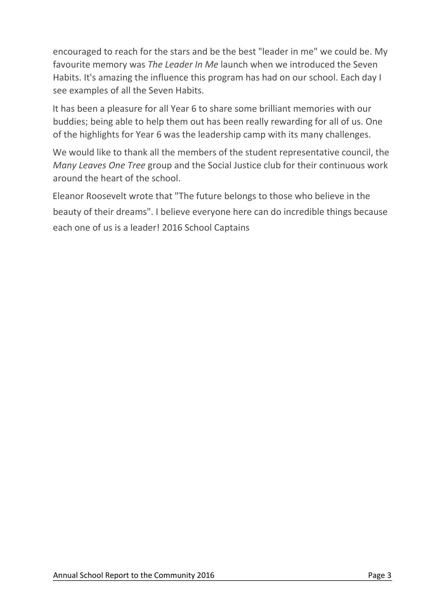encouraged to reach for the stars and be the best "leader in me" we could be. My favourite memory was *The Leader In Me* launch when we introduced the Seven Habits. It's amazing the influence this program has had on our school. Each day I see examples of all the Seven Habits.

It has been a pleasure for all Year 6 to share some brilliant memories with our buddies; being able to help them out has been really rewarding for all of us. One of the highlights for Year 6 was the leadership camp with its many challenges.

We would like to thank all the members of the student representative council, the *Many Leaves One Tree* group and the Social Justice club for their continuous work around the heart of the school.

Eleanor Roosevelt wrote that "The future belongs to those who believe in the beauty of their dreams". I believe everyone here can do incredible things because each one of us is a leader! 2016 School Captains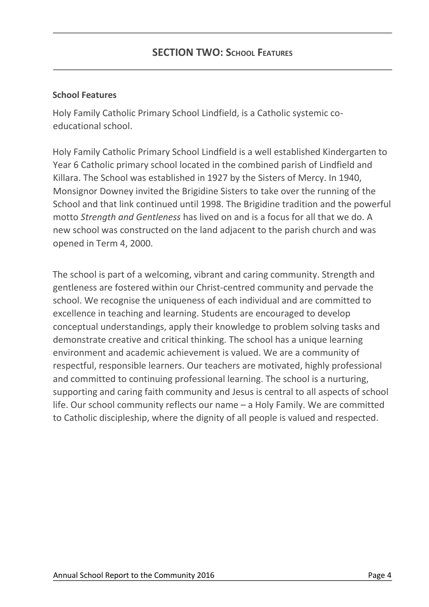#### **School Features**

Holy Family Catholic Primary School Lindfield, is a Catholic systemic coeducational school.

Holy Family Catholic Primary School Lindfield is a well established Kindergarten to Year 6 Catholic primary school located in the combined parish of Lindfield and Killara. The School was established in 1927 by the Sisters of Mercy. In 1940, Monsignor Downey invited the Brigidine Sisters to take over the running of the School and that link continued until 1998. The Brigidine tradition and the powerful motto *Strength and Gentleness* has lived on and is a focus for all that we do. A new school was constructed on the land adjacent to the parish church and was opened in Term 4, 2000.

The school is part of a welcoming, vibrant and caring community. Strength and gentleness are fostered within our Christ-centred community and pervade the school. We recognise the uniqueness of each individual and are committed to excellence in teaching and learning. Students are encouraged to develop conceptual understandings, apply their knowledge to problem solving tasks and demonstrate creative and critical thinking. The school has a unique learning environment and academic achievement is valued. We are a community of respectful, responsible learners. Our teachers are motivated, highly professional and committed to continuing professional learning. The school is a nurturing, supporting and caring faith community and Jesus is central to all aspects of school life. Our school community reflects our name – a Holy Family. We are committed to Catholic discipleship, where the dignity of all people is valued and respected.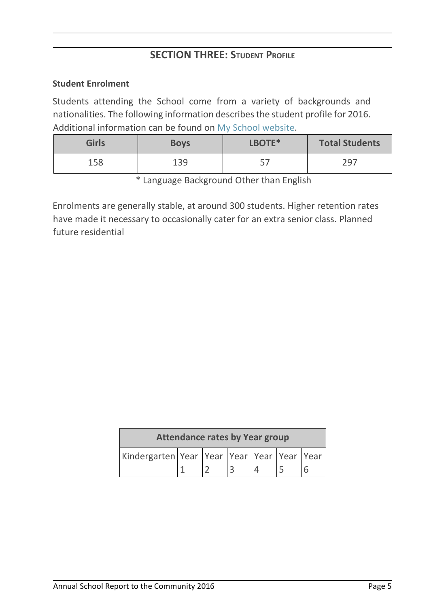# **SECTION THREE: STUDENT PROFILE**

#### **Student Enrolment**

Students attending the School come from a variety of backgrounds and nationalities. The following information describes the student profile for 2016. Additional information can be found on My School website.

| <b>Girls</b> | <b>Boys</b> | LBOTE*     | <b>Total Students</b> |  |
|--------------|-------------|------------|-----------------------|--|
| 158          | 139         | -57<br>، ب | 297                   |  |

\* Language Background Other than English

Enrolments are generally stable, at around 300 students. Higher retention rates have made it necessary to occasionally cater for an extra senior class. Planned future residential

| <b>Attendance rates by Year group</b>           |  |  |  |  |  |  |  |
|-------------------------------------------------|--|--|--|--|--|--|--|
| Kindergarten Year  Year  Year  Year  Year  Year |  |  |  |  |  |  |  |
|                                                 |  |  |  |  |  |  |  |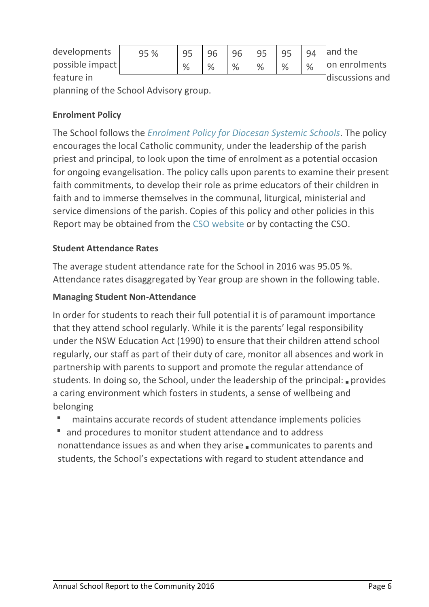| developments                           | 95 % | 95   |      | 96            | 95   | 95 | 94            | and the         |
|----------------------------------------|------|------|------|---------------|------|----|---------------|-----------------|
| possible impact                        |      | $\%$ | $\%$ | $\frac{9}{6}$ | $\%$ | %  | $\frac{0}{0}$ | on enrolments   |
| feature in                             |      |      |      |               |      |    |               | discussions and |
| planning of the School Advisory group. |      |      |      |               |      |    |               |                 |

#### **Enrolment Policy**

The School follows the *Enrolment Policy for Diocesan Systemic Schools*. The policy encourages the local Catholic community, under the leadership of the parish priest and principal, to look upon the time of enrolment as a potential occasion for ongoing evangelisation. The policy calls upon parents to examine their present faith commitments, to develop their role as prime educators of their children in faith and to immerse themselves in the communal, liturgical, ministerial and service dimensions of the parish. Copies of this policy and other policies in this Report may be obtained from the CSO website or by contacting the CSO.

#### **Student Attendance Rates**

The average student attendance rate for the School in 2016 was 95.05 %. Attendance rates disaggregated by Year group are shown in the following table.

#### **Managing Student Non-Attendance**

In order for students to reach their full potential it is of paramount importance that they attend school regularly. While it is the parents' legal responsibility under the NSW Education Act (1990) to ensure that their children attend school regularly, our staff as part of their duty of care, monitor all absences and work in partnership with parents to support and promote the regular attendance of students. In doing so, the School, under the leadership of the principal: **provides** a caring environment which fosters in students, a sense of wellbeing and belonging

- maintains accurate records of student attendance implements policies
- and procedures to monitor student attendance and to address nonattendance issues as and when they arise **communicates to parents and** students, the School's expectations with regard to student attendance and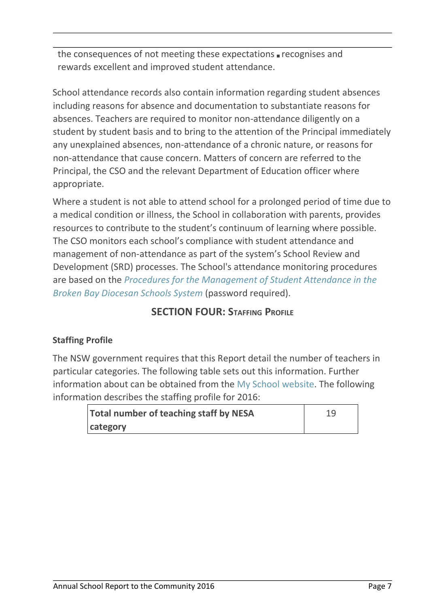the consequences of not meeting these expectations  $\blacksquare$  recognises and rewards excellent and improved student attendance.

School attendance records also contain information regarding student absences including reasons for absence and documentation to substantiate reasons for absences. Teachers are required to monitor non-attendance diligently on a student by student basis and to bring to the attention of the Principal immediately any unexplained absences, non-attendance of a chronic nature, or reasons for non-attendance that cause concern. Matters of concern are referred to the Principal, the CSO and the relevant Department of Education officer where appropriate.

Where a student is not able to attend school for a prolonged period of time due to a medical condition or illness, the School in collaboration with parents, provides resources to contribute to the student's continuum of learning where possible. The CSO monitors each school's compliance with student attendance and management of non-attendance as part of the system's School Review and Development (SRD) processes. The School's attendance monitoring procedures are based on the *Procedures for the Management of Student Attendance in the Broken Bay Diocesan Schools System* (password required).

# **SECTION FOUR: STAFFING PROFILE**

# **Staffing Profile**

The NSW government requires that this Report detail the number of teachers in particular categories. The following table sets out this information. Further information about can be obtained from the My School website. The following information describes the staffing profile for 2016:

| <b>Total number of teaching staff by NESA</b> | 19 |
|-----------------------------------------------|----|
| category                                      |    |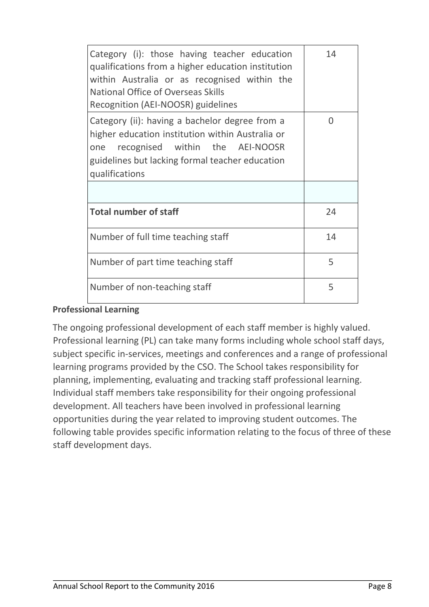| Category (i): those having teacher education<br>qualifications from a higher education institution<br>within Australia or as recognised within the<br><b>National Office of Overseas Skills</b><br>Recognition (AEI-NOOSR) guidelines | 14 |
|---------------------------------------------------------------------------------------------------------------------------------------------------------------------------------------------------------------------------------------|----|
| Category (ii): having a bachelor degree from a<br>higher education institution within Australia or<br>one recognised within the AEI-NOOSR<br>guidelines but lacking formal teacher education<br>qualifications                        | 0  |
|                                                                                                                                                                                                                                       |    |
| <b>Total number of staff</b>                                                                                                                                                                                                          | 24 |
| Number of full time teaching staff                                                                                                                                                                                                    | 14 |
| Number of part time teaching staff                                                                                                                                                                                                    | 5  |
| Number of non-teaching staff                                                                                                                                                                                                          | 5  |

#### **Professional Learning**

The ongoing professional development of each staff member is highly valued. Professional learning (PL) can take many forms including whole school staff days, subject specific in-services, meetings and conferences and a range of professional learning programs provided by the CSO. The School takes responsibility for planning, implementing, evaluating and tracking staff professional learning. Individual staff members take responsibility for their ongoing professional development. All teachers have been involved in professional learning opportunities during the year related to improving student outcomes. The following table provides specific information relating to the focus of three of these staff development days.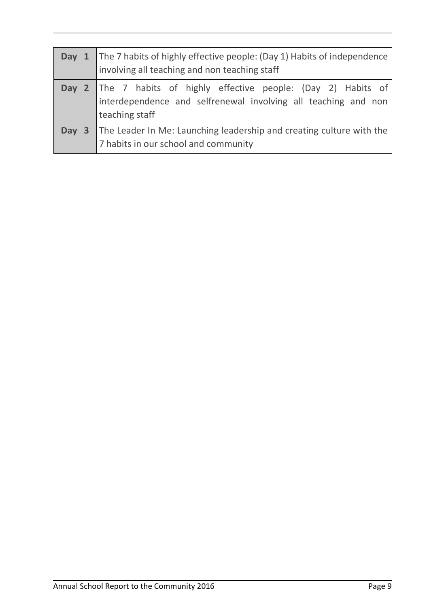| <b>Day 1</b> The 7 habits of highly effective people: (Day 1) Habits of independence<br>involving all teaching and non teaching staff             |
|---------------------------------------------------------------------------------------------------------------------------------------------------|
| Day 2 The 7 habits of highly effective people: (Day 2) Habits of interdependence and selfrenewal involving all teaching and non<br>teaching staff |
| Day 3 The Leader In Me: Launching leadership and creating culture with the<br>7 habits in our school and community                                |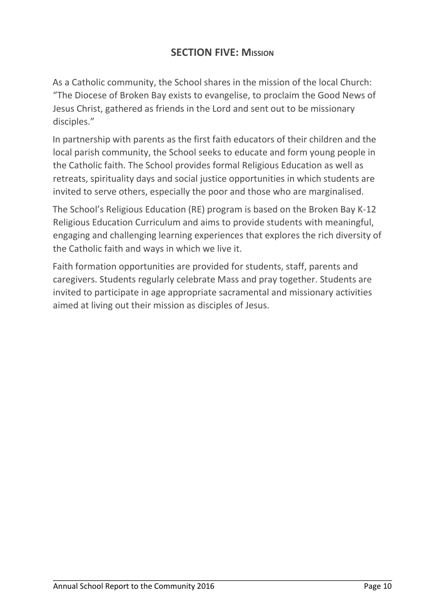# **SECTION FIVE: MISSION**

As a Catholic community, the School shares in the mission of the local Church: "The Diocese of Broken Bay exists to evangelise, to proclaim the Good News of Jesus Christ, gathered as friends in the Lord and sent out to be missionary disciples."

In partnership with parents as the first faith educators of their children and the local parish community, the School seeks to educate and form young people in the Catholic faith. The School provides formal Religious Education as well as retreats, spirituality days and social justice opportunities in which students are invited to serve others, especially the poor and those who are marginalised.

The School's Religious Education (RE) program is based on the Broken Bay K-12 Religious Education Curriculum and aims to provide students with meaningful, engaging and challenging learning experiences that explores the rich diversity of the Catholic faith and ways in which we live it.

Faith formation opportunities are provided for students, staff, parents and caregivers. Students regularly celebrate Mass and pray together. Students are invited to participate in age appropriate sacramental and missionary activities aimed at living out their mission as disciples of Jesus.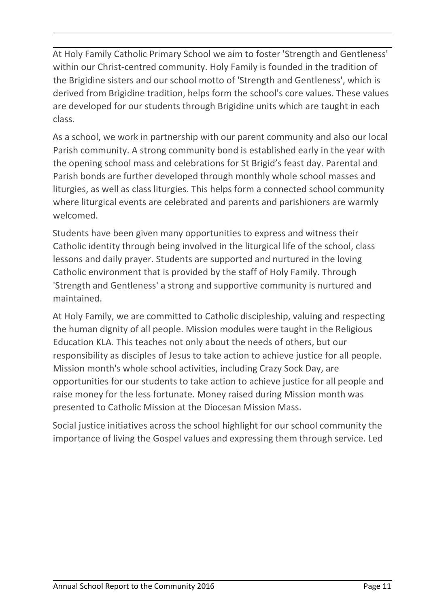At Holy Family Catholic Primary School we aim to foster 'Strength and Gentleness' within our Christ-centred community. Holy Family is founded in the tradition of the Brigidine sisters and our school motto of 'Strength and Gentleness', which is derived from Brigidine tradition, helps form the school's core values. These values are developed for our students through Brigidine units which are taught in each class.

As a school, we work in partnership with our parent community and also our local Parish community. A strong community bond is established early in the year with the opening school mass and celebrations for St Brigid's feast day. Parental and Parish bonds are further developed through monthly whole school masses and liturgies, as well as class liturgies. This helps form a connected school community where liturgical events are celebrated and parents and parishioners are warmly welcomed.

Students have been given many opportunities to express and witness their Catholic identity through being involved in the liturgical life of the school, class lessons and daily prayer. Students are supported and nurtured in the loving Catholic environment that is provided by the staff of Holy Family. Through 'Strength and Gentleness' a strong and supportive community is nurtured and maintained.

At Holy Family, we are committed to Catholic discipleship, valuing and respecting the human dignity of all people. Mission modules were taught in the Religious Education KLA. This teaches not only about the needs of others, but our responsibility as disciples of Jesus to take action to achieve justice for all people. Mission month's whole school activities, including Crazy Sock Day, are opportunities for our students to take action to achieve justice for all people and raise money for the less fortunate. Money raised during Mission month was presented to Catholic Mission at the Diocesan Mission Mass.

Social justice initiatives across the school highlight for our school community the importance of living the Gospel values and expressing them through service. Led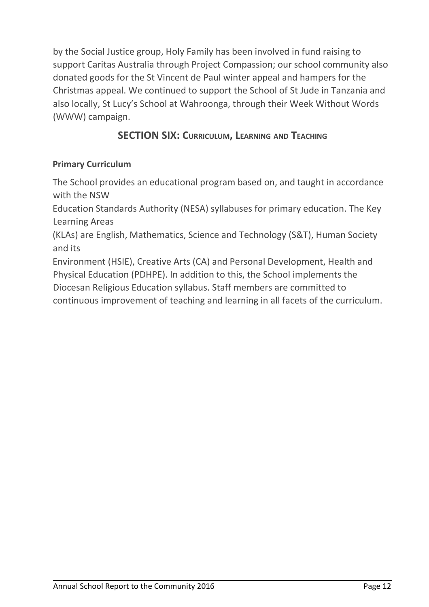by the Social Justice group, Holy Family has been involved in fund raising to support Caritas Australia through Project Compassion; our school community also donated goods for the St Vincent de Paul winter appeal and hampers for the Christmas appeal. We continued to support the School of St Jude in Tanzania and also locally, St Lucy's School at Wahroonga, through their Week Without Words (WWW) campaign.

# **SECTION SIX: CURRICULUM, LEARNING AND TEACHING**

# **Primary Curriculum**

The School provides an educational program based on, and taught in accordance with the NSW

Education Standards Authority (NESA) syllabuses for primary education. The Key Learning Areas

(KLAs) are English, Mathematics, Science and Technology (S&T), Human Society and its

Environment (HSIE), Creative Arts (CA) and Personal Development, Health and Physical Education (PDHPE). In addition to this, the School implements the Diocesan Religious Education syllabus. Staff members are committed to continuous improvement of teaching and learning in all facets of the curriculum.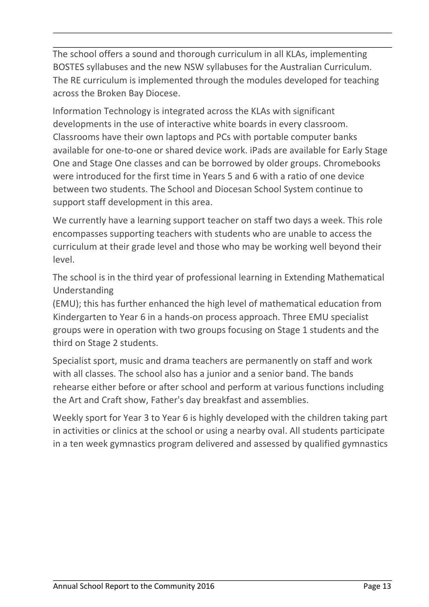The school offers a sound and thorough curriculum in all KLAs, implementing BOSTES syllabuses and the new NSW syllabuses for the Australian Curriculum. The RE curriculum is implemented through the modules developed for teaching across the Broken Bay Diocese.

Information Technology is integrated across the KLAs with significant developments in the use of interactive white boards in every classroom. Classrooms have their own laptops and PCs with portable computer banks available for one-to-one or shared device work. iPads are available for Early Stage One and Stage One classes and can be borrowed by older groups. Chromebooks were introduced for the first time in Years 5 and 6 with a ratio of one device between two students. The School and Diocesan School System continue to support staff development in this area.

We currently have a learning support teacher on staff two days a week. This role encompasses supporting teachers with students who are unable to access the curriculum at their grade level and those who may be working well beyond their level.

The school is in the third year of professional learning in Extending Mathematical Understanding

(EMU); this has further enhanced the high level of mathematical education from Kindergarten to Year 6 in a hands-on process approach. Three EMU specialist groups were in operation with two groups focusing on Stage 1 students and the third on Stage 2 students.

Specialist sport, music and drama teachers are permanently on staff and work with all classes. The school also has a junior and a senior band. The bands rehearse either before or after school and perform at various functions including the Art and Craft show, Father's day breakfast and assemblies.

Weekly sport for Year 3 to Year 6 is highly developed with the children taking part in activities or clinics at the school or using a nearby oval. All students participate in a ten week gymnastics program delivered and assessed by qualified gymnastics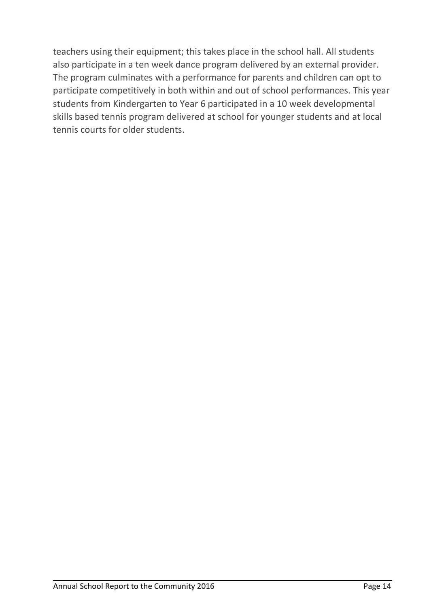teachers using their equipment; this takes place in the school hall. All students also participate in a ten week dance program delivered by an external provider. The program culminates with a performance for parents and children can opt to participate competitively in both within and out of school performances. This year students from Kindergarten to Year 6 participated in a 10 week developmental skills based tennis program delivered at school for younger students and at local tennis courts for older students.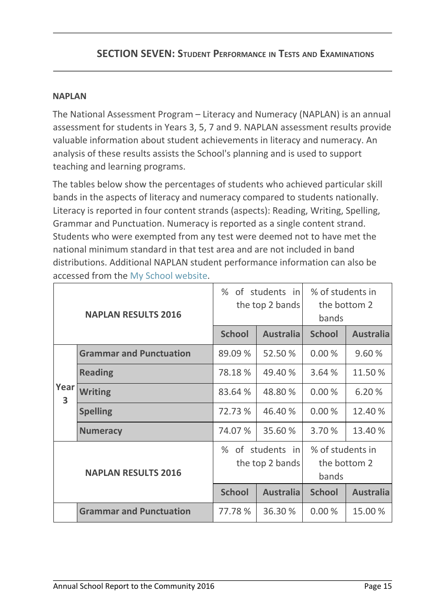# **SECTION SEVEN: STUDENT PERFORMANCE IN TESTS AND EXAMINATIONS**

#### **NAPLAN**

The National Assessment Program – Literacy and Numeracy (NAPLAN) is an annual assessment for students in Years 3, 5, 7 and 9. NAPLAN assessment results provide valuable information about student achievements in literacy and numeracy. An analysis of these results assists the School's planning and is used to support teaching and learning programs.

The tables below show the percentages of students who achieved particular skill bands in the aspects of literacy and numeracy compared to students nationally. Literacy is reported in four content strands (aspects): Reading, Writing, Spelling, Grammar and Punctuation. Numeracy is reported as a single content strand. Students who were exempted from any test were deemed not to have met the national minimum standard in that test area and are not included in band distributions. Additional NAPLAN student performance information can also be accessed from the My School website.

| <b>NAPLAN RESULTS 2016</b>      |                                |                                     | % of students in<br>the top 2 bands | % of students in<br>the bottom 2<br>bands |                  |
|---------------------------------|--------------------------------|-------------------------------------|-------------------------------------|-------------------------------------------|------------------|
|                                 |                                | <b>School</b>                       | <b>Australia</b>                    | <b>School</b>                             | <b>Australia</b> |
|                                 | <b>Grammar and Punctuation</b> | 89.09 %                             | 52.50 %                             | 0.00%                                     | 9.60%            |
|                                 | <b>Reading</b>                 | 78.18%                              | 49.40 %                             | 3.64 %                                    | 11.50 %          |
| Year<br>$\overline{\mathbf{3}}$ | <b>Writing</b>                 | 83.64 %                             | 48.80 %                             | 0.00%                                     | 6.20 %           |
|                                 | <b>Spelling</b>                | 72.73 %                             | 46.40 %                             | 0.00%                                     | 12.40 %          |
|                                 | <b>Numeracy</b>                | 74.07%                              | 35.60%                              | 3.70 %                                    | 13.40 %          |
| <b>NAPLAN RESULTS 2016</b>      |                                | % of students in<br>the top 2 bands |                                     | % of students in<br>the bottom 2<br>bands |                  |
|                                 |                                | <b>School</b>                       | <b>Australia</b>                    | <b>School</b>                             | <b>Australia</b> |
|                                 | <b>Grammar and Punctuation</b> | 77.78 %                             | 36.30 %                             | 0.00%                                     | 15.00 %          |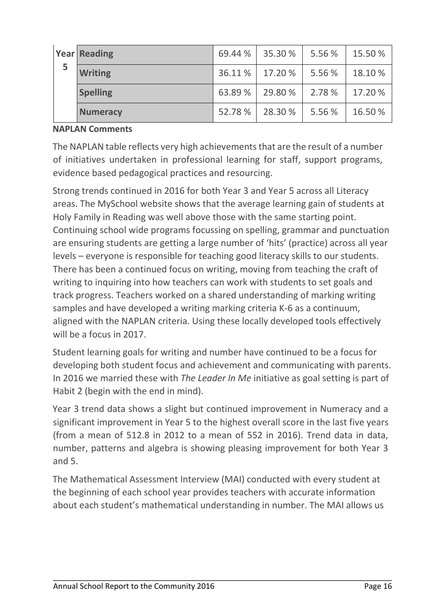|   | <b>Year Reading</b> | 69.44 % | 35.30 % | 5.56 % | 15.50 % |
|---|---------------------|---------|---------|--------|---------|
| 5 | <b>Writing</b>      | 36.11 % | 17.20%  | 5.56 % | 18.10 % |
|   | <b>Spelling</b>     | 63.89 % | 29.80%  | 2.78 % | 17.20 % |
|   | <b>Numeracy</b>     | 52.78%  | 28.30 % | 5.56 % | 16.50 % |

#### **NAPLAN Comments**

The NAPLAN table reflects very high achievements that are the result of a number of initiatives undertaken in professional learning for staff, support programs, evidence based pedagogical practices and resourcing.

Strong trends continued in 2016 for both Year 3 and Year 5 across all Literacy areas. The MySchool website shows that the average learning gain of students at Holy Family in Reading was well above those with the same starting point. Continuing school wide programs focussing on spelling, grammar and punctuation are ensuring students are getting a large number of 'hits' (practice) across all year levels – everyone is responsible for teaching good literacy skills to our students. There has been a continued focus on writing, moving from teaching the craft of writing to inquiring into how teachers can work with students to set goals and track progress. Teachers worked on a shared understanding of marking writing samples and have developed a writing marking criteria K-6 as a continuum, aligned with the NAPLAN criteria. Using these locally developed tools effectively will be a focus in 2017.

Student learning goals for writing and number have continued to be a focus for developing both student focus and achievement and communicating with parents. In 2016 we married these with *The Leader In Me* initiative as goal setting is part of Habit 2 (begin with the end in mind).

Year 3 trend data shows a slight but continued improvement in Numeracy and a significant improvement in Year 5 to the highest overall score in the last five years (from a mean of 512.8 in 2012 to a mean of 552 in 2016). Trend data in data, number, patterns and algebra is showing pleasing improvement for both Year 3 and 5.

The Mathematical Assessment Interview (MAI) conducted with every student at the beginning of each school year provides teachers with accurate information about each student's mathematical understanding in number. The MAI allows us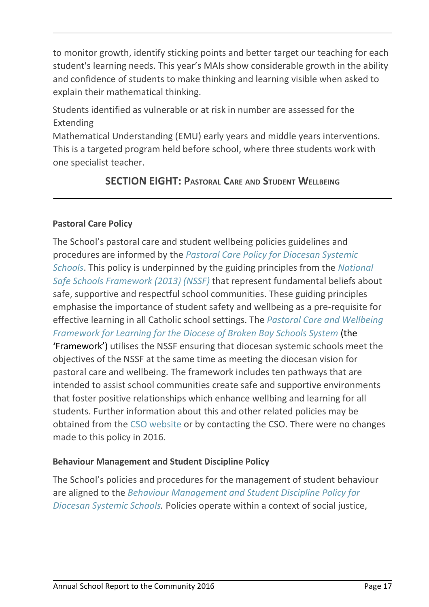to monitor growth, identify sticking points and better target our teaching for each student's learning needs. This year's MAIs show considerable growth in the ability and confidence of students to make thinking and learning visible when asked to explain their mathematical thinking.

Students identified as vulnerable or at risk in number are assessed for the Extending

Mathematical Understanding (EMU) early years and middle years interventions. This is a targeted program held before school, where three students work with one specialist teacher.

# **SECTION EIGHT: PASTORAL CARE AND STUDENT WELLBEING**

# **Pastoral Care Policy**

The School's pastoral care and student wellbeing policies guidelines and procedures are informed by the *Pastoral Care Policy for Diocesan Systemic Schools*. This policy is underpinned by the guiding principles from the *National Safe Schools Framework (2013) (NSSF)* that represent fundamental beliefs about safe, supportive and respectful school communities. These guiding principles emphasise the importance of student safety and wellbeing as a pre-requisite for effective learning in all Catholic school settings. The *Pastoral Care and Wellbeing Framework for Learning for the Diocese of Broken Bay Schools System* (the 'Framework') utilises the NSSF ensuring that diocesan systemic schools meet the objectives of the NSSF at the same time as meeting the diocesan vision for pastoral care and wellbeing. The framework includes ten pathways that are intended to assist school communities create safe and supportive environments that foster positive relationships which enhance wellbing and learning for all students. Further information about this and other related policies may be obtained from the CSO website or by contacting the CSO. There were no changes made to this policy in 2016.

## **Behaviour Management and Student Discipline Policy**

The School's policies and procedures for the management of student behaviour are aligned to the *Behaviour Management and Student Discipline Policy for Diocesan Systemic Schools.* Policies operate within a context of social justice,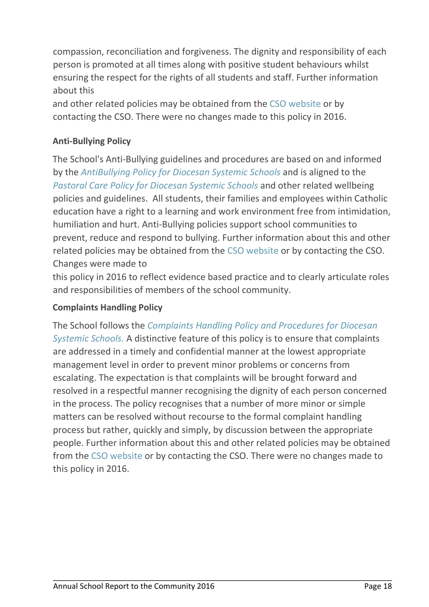compassion, reconciliation and forgiveness. The dignity and responsibility of each person is promoted at all times along with positive student behaviours whilst ensuring the respect for the rights of all students and staff. Further information about this

and other related policies may be obtained from the CSO website or by contacting the CSO. There were no changes made to this policy in 2016.

# **Anti-Bullying Policy**

The School's Anti-Bullying guidelines and procedures are based on and informed by the *AntiBullying Policy for Diocesan Systemic Schools* and is aligned to the *Pastoral Care Policy for Diocesan Systemic Schools* and other related wellbeing policies and guidelines. All students, their families and employees within Catholic education have a right to a learning and work environment free from intimidation, humiliation and hurt. Anti-Bullying policies support school communities to prevent, reduce and respond to bullying. Further information about this and other related policies may be obtained from the CSO website or by contacting the CSO. Changes were made to

this policy in 2016 to reflect evidence based practice and to clearly articulate roles and responsibilities of members of the school community.

## **Complaints Handling Policy**

The School follows the *Complaints Handling Policy and Procedures for Diocesan Systemic Schools.* A distinctive feature of this policy is to ensure that complaints are addressed in a timely and confidential manner at the lowest appropriate management level in order to prevent minor problems or concerns from escalating. The expectation is that complaints will be brought forward and resolved in a respectful manner recognising the dignity of each person concerned in the process. The policy recognises that a number of more minor or simple matters can be resolved without recourse to the formal complaint handling process but rather, quickly and simply, by discussion between the appropriate people. Further information about this and other related policies may be obtained from the CSO website or by contacting the CSO. There were no changes made to this policy in 2016.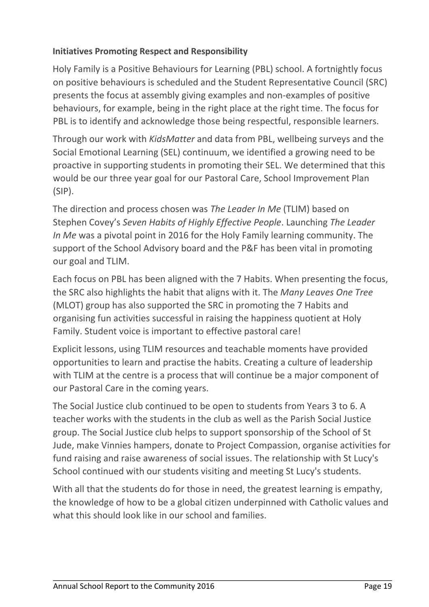## **Initiatives Promoting Respect and Responsibility**

Holy Family is a Positive Behaviours for Learning (PBL) school. A fortnightly focus on positive behaviours is scheduled and the Student Representative Council (SRC) presents the focus at assembly giving examples and non-examples of positive behaviours, for example, being in the right place at the right time. The focus for PBL is to identify and acknowledge those being respectful, responsible learners.

Through our work with *KidsMatter* and data from PBL, wellbeing surveys and the Social Emotional Learning (SEL) continuum, we identified a growing need to be proactive in supporting students in promoting their SEL. We determined that this would be our three year goal for our Pastoral Care, School Improvement Plan (SIP).

The direction and process chosen was *The Leader In Me* (TLIM) based on Stephen Covey's *Seven Habits of Highly Effective People*. Launching *The Leader In Me* was a pivotal point in 2016 for the Holy Family learning community. The support of the School Advisory board and the P&F has been vital in promoting our goal and TLIM.

Each focus on PBL has been aligned with the 7 Habits. When presenting the focus, the SRC also highlights the habit that aligns with it. The *Many Leaves One Tree* (MLOT) group has also supported the SRC in promoting the 7 Habits and organising fun activities successful in raising the happiness quotient at Holy Family. Student voice is important to effective pastoral care!

Explicit lessons, using TLIM resources and teachable moments have provided opportunities to learn and practise the habits. Creating a culture of leadership with TLIM at the centre is a process that will continue be a major component of our Pastoral Care in the coming years.

The Social Justice club continued to be open to students from Years 3 to 6. A teacher works with the students in the club as well as the Parish Social Justice group. The Social Justice club helps to support sponsorship of the School of St Jude, make Vinnies hampers, donate to Project Compassion, organise activities for fund raising and raise awareness of social issues. The relationship with St Lucy's School continued with our students visiting and meeting St Lucy's students.

With all that the students do for those in need, the greatest learning is empathy, the knowledge of how to be a global citizen underpinned with Catholic values and what this should look like in our school and families.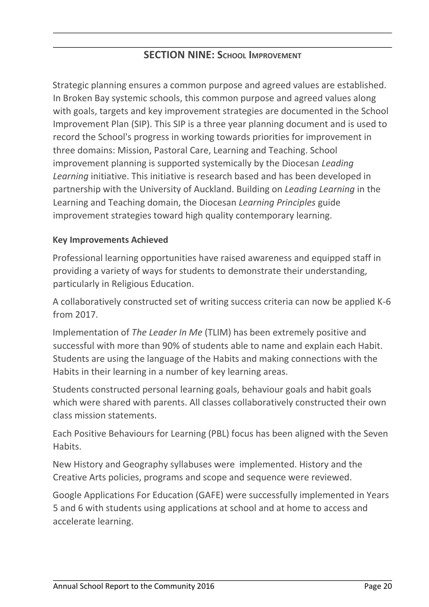# **SECTION NINE: SCHOOL IMPROVEMENT**

Strategic planning ensures a common purpose and agreed values are established. In Broken Bay systemic schools, this common purpose and agreed values along with goals, targets and key improvement strategies are documented in the School Improvement Plan (SIP). This SIP is a three year planning document and is used to record the School's progress in working towards priorities for improvement in three domains: Mission, Pastoral Care, Learning and Teaching. School improvement planning is supported systemically by the Diocesan *Leading Learning* initiative. This initiative is research based and has been developed in partnership with the University of Auckland. Building on *Leading Learning* in the Learning and Teaching domain, the Diocesan *Learning Principles* guide improvement strategies toward high quality contemporary learning.

#### **Key Improvements Achieved**

Professional learning opportunities have raised awareness and equipped staff in providing a variety of ways for students to demonstrate their understanding, particularly in Religious Education.

A collaboratively constructed set of writing success criteria can now be applied K-6 from 2017.

Implementation of *The Leader In Me* (TLIM) has been extremely positive and successful with more than 90% of students able to name and explain each Habit. Students are using the language of the Habits and making connections with the Habits in their learning in a number of key learning areas.

Students constructed personal learning goals, behaviour goals and habit goals which were shared with parents. All classes collaboratively constructed their own class mission statements.

Each Positive Behaviours for Learning (PBL) focus has been aligned with the Seven Habits.

New History and Geography syllabuses were implemented. History and the Creative Arts policies, programs and scope and sequence were reviewed.

Google Applications For Education (GAFE) were successfully implemented in Years 5 and 6 with students using applications at school and at home to access and accelerate learning.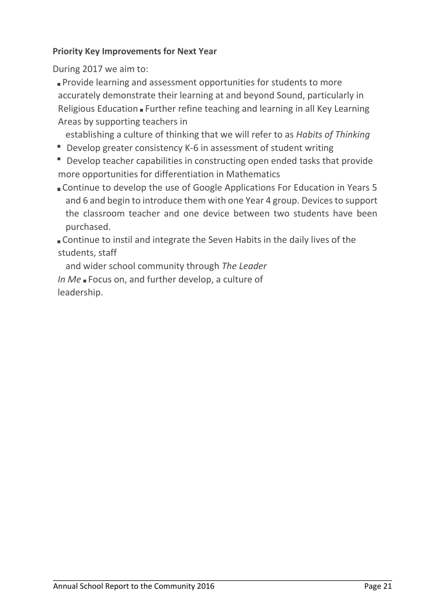#### **Priority Key Improvements for Next Year**

During 2017 we aim to:

**Provide learning and assessment opportunities for students to more** accurately demonstrate their learning at and beyond Sound, particularly in Religious Education  $\blacksquare$  Further refine teaching and learning in all Key Learning Areas by supporting teachers in

establishing a culture of thinking that we will refer to as *Habits of Thinking*

- **Develop greater consistency K-6 in assessment of student writing**
- Develop teacher capabilities in constructing open ended tasks that provide more opportunities for differentiation in Mathematics
- Continue to develop the use of Google Applications For Education in Years 5 and 6 and begin to introduce them with one Year 4 group. Devices to support the classroom teacher and one device between two students have been purchased.

Continue to instil and integrate the Seven Habits in the daily lives of the students, staff

and wider school community through *The Leader*  In Me Focus on, and further develop, a culture of leadership.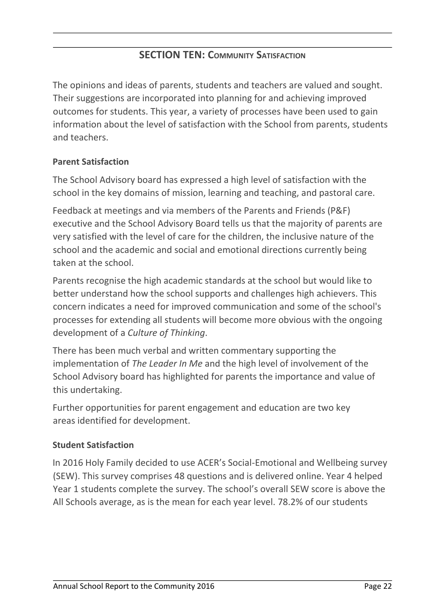# **SECTION TEN: COMMUNITY SATISFACTION**

The opinions and ideas of parents, students and teachers are valued and sought. Their suggestions are incorporated into planning for and achieving improved outcomes for students. This year, a variety of processes have been used to gain information about the level of satisfaction with the School from parents, students and teachers.

## **Parent Satisfaction**

The School Advisory board has expressed a high level of satisfaction with the school in the key domains of mission, learning and teaching, and pastoral care.

Feedback at meetings and via members of the Parents and Friends (P&F) executive and the School Advisory Board tells us that the majority of parents are very satisfied with the level of care for the children, the inclusive nature of the school and the academic and social and emotional directions currently being taken at the school.

Parents recognise the high academic standards at the school but would like to better understand how the school supports and challenges high achievers. This concern indicates a need for improved communication and some of the school's processes for extending all students will become more obvious with the ongoing development of a *Culture of Thinking*.

There has been much verbal and written commentary supporting the implementation of *The Leader In Me* and the high level of involvement of the School Advisory board has highlighted for parents the importance and value of this undertaking.

Further opportunities for parent engagement and education are two key areas identified for development.

#### **Student Satisfaction**

In 2016 Holy Family decided to use ACER's Social-Emotional and Wellbeing survey (SEW). This survey comprises 48 questions and is delivered online. Year 4 helped Year 1 students complete the survey. The school's overall SEW score is above the All Schools average, as is the mean for each year level. 78.2% of our students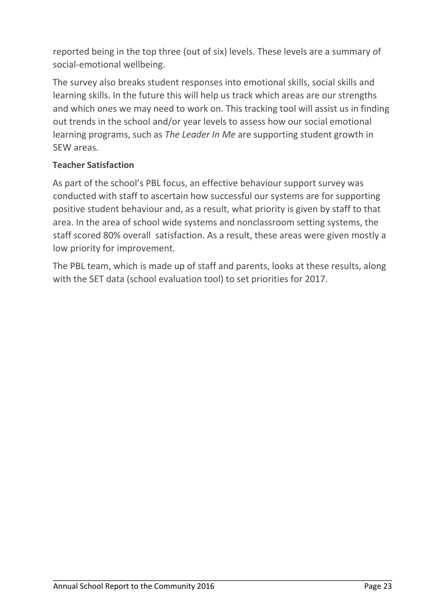reported being in the top three (out of six) levels. These levels are a summary of social-emotional wellbeing.

The survey also breaks student responses into emotional skills, social skills and learning skills. In the future this will help us track which areas are our strengths and which ones we may need to work on. This tracking tool will assist us in finding out trends in the school and/or year levels to assess how our social emotional learning programs, such as *The Leader In Me* are supporting student growth in SEW areas.

## **Teacher Satisfaction**

As part of the school's PBL focus, an effective behaviour support survey was conducted with staff to ascertain how successful our systems are for supporting positive student behaviour and, as a result, what priority is given by staff to that area. In the area of school wide systems and nonclassroom setting systems, the staff scored 80% overall satisfaction. As a result, these areas were given mostly a low priority for improvement.

The PBL team, which is made up of staff and parents, looks at these results, along with the SET data (school evaluation tool) to set priorities for 2017.